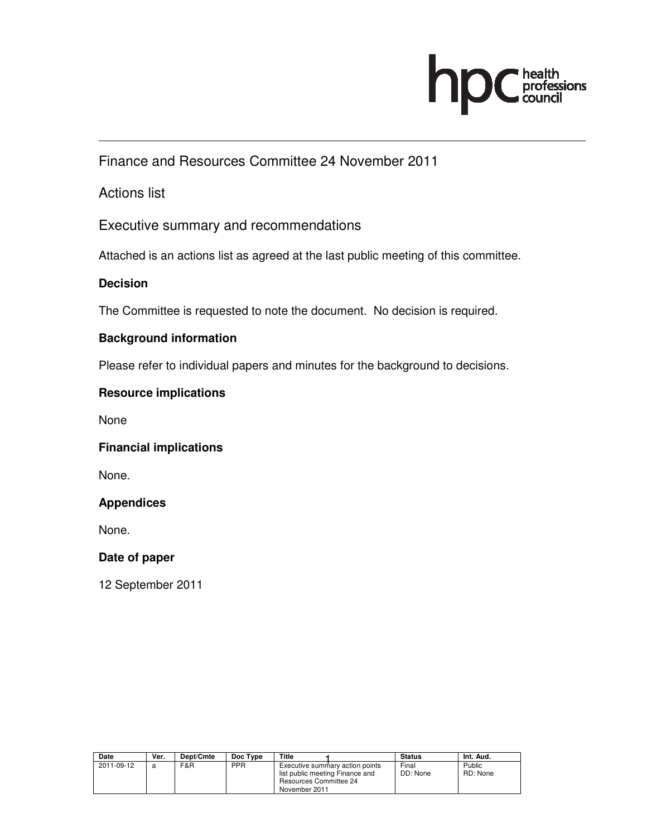

Finance and Resources Committee 24 November 2011

Actions list

Executive summary and recommendations

Attached is an actions list as agreed at the last public meeting of this committee.

### **Decision**

The Committee is requested to note the document. No decision is required.

#### **Background information**

Please refer to individual papers and minutes for the background to decisions.

#### **Resource implications**

None

#### **Financial implications**

None.

#### **Appendices**

None.

#### **Date of paper**

12 September 2011

| Date       | Ver. | Dept/Cmte | Doc Type   | Title                                                                                                                | <b>Status</b>     | Int. Aud.          |
|------------|------|-----------|------------|----------------------------------------------------------------------------------------------------------------------|-------------------|--------------------|
| 2011-09-12 |      | F&R       | <b>PPR</b> | Executive summary action points<br>list public meeting Finance and<br><b>Resources Committee 24</b><br>November 2011 | Final<br>DD: None | Public<br>RD: None |